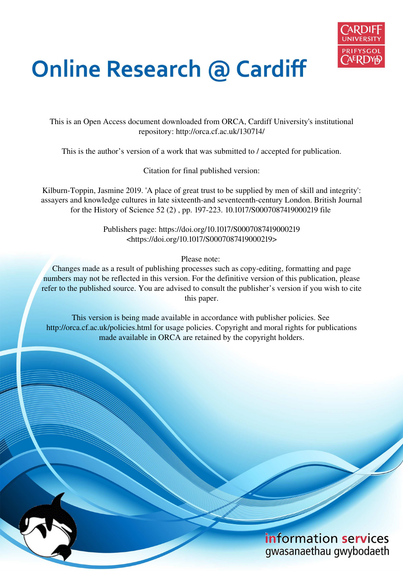

# **Online Research @ Cardiff**

This is an Open Access document downloaded from ORCA, Cardiff University's institutional repository: http://orca.cf.ac.uk/130714/

This is the author's version of a work that was submitted to / accepted for publication.

Citation for final published version:

Kilburn-Toppin, Jasmine 2019. 'A place of great trust to be supplied by men of skill and integrity': assayers and knowledge cultures in late sixteenth-and seventeenth-century London. British Journal for the History of Science 52 (2) , pp. 197-223. 10.1017/S0007087419000219 file

> Publishers page: https://doi.org/10.1017/S0007087419000219 <https://doi.org/10.1017/S0007087419000219>

> > Please note:

Changes made as a result of publishing processes such as copy-editing, formatting and page numbers may not be reflected in this version. For the definitive version of this publication, please refer to the published source. You are advised to consult the publisher's version if you wish to cite this paper.

This version is being made available in accordance with publisher policies. See http://orca.cf.ac.uk/policies.html for usage policies. Copyright and moral rights for publications made available in ORCA are retained by the copyright holders.

## information services gwasanaethau gwybodaeth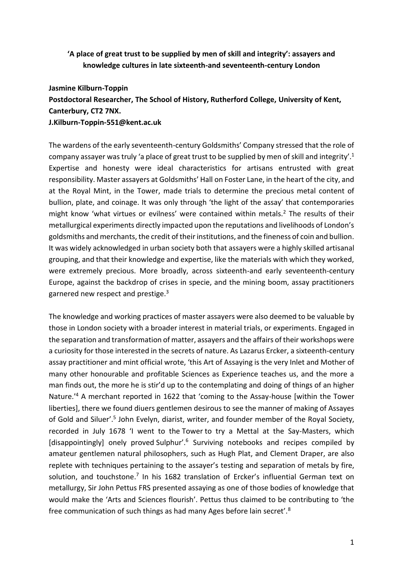## 'A place of great trust to be supplied by men of skill and integrity': assayers and knowledge cultures in late sixteenth-and seventeenth-century London

### Jasmine Kilburn-Toppin

## Postdoctoral Researcher, The School of History, Rutherford College, University of Kent, Canterbury, CT2 7NX.

## J.Kilburn-Toppin-551@kent.ac.uk

The wardens of the early seventeenth-century Goldsmiths' Company stressed that the role of company assayer was truly 'a place of great trust to be supplied by men of skill and integrity'.<sup>1</sup> Expertise and honesty were ideal characteristics for artisans entrusted with great responsibility. Master assayers at Goldsmiths' Hall on Foster Lane, in the heart of the city, and at the Royal Mint, in the Tower, made trials to determine the precious metal content of bullion, plate, and coinage. It was only through 'the light of the assay' that contemporaries might know 'what virtues or evilness' were contained within metals.<sup>2</sup> The results of their metallurgical experiments directly impacted upon the reputations and livelihoods of London's goldsmiths and merchants, the credit of their institutions, and the fineness of coin and bullion. It was widely acknowledged in urban society both that assayers were a highly skilled artisanal grouping, and that their knowledge and expertise, like the materials with which they worked, were extremely precious. More broadly, across sixteenth-and early seventeenth-century Europe, against the backdrop of crises in specie, and the mining boom, assay practitioners garnered new respect and prestige.<sup>3</sup>

The knowledge and working practices of master assayers were also deemed to be valuable by those in London society with a broader interest in material trials, or experiments. Engaged in the separation and transformation of matter, assayers and the affairs of their workshops were a curiosity for those interested in the secrets of nature. As Lazarus Ercker, a sixteenth-century assay practitioner and mint official wrote, 'this Art of Assaying is the very Inlet and Mother of many other honourable and profitable Sciences as Experience teaches us, and the more a man finds out, the more he is stir'd up to the contemplating and doing of things of an higher Nature.<sup>'4</sup> A merchant reported in 1622 that 'coming to the Assay-house [within the Tower liberties], there we found diuers gentlemen desirous to see the manner of making of Assayes of Gold and Siluer'.<sup>5</sup> John Evelyn, diarist, writer, and founder member of the Royal Society, recorded in July 1678 'I went to the Tower to try a Mettal at the Say-Masters, which [disappointingly] onely proved Sulphur'.<sup>6</sup> Surviving notebooks and recipes compiled by amateur gentlemen natural philosophers, such as Hugh Plat, and Clement Draper, are also replete with techniques pertaining to the assayer's testing and separation of metals by fire, solution, and touchstone.<sup>7</sup> In his 1682 translation of Ercker's influential German text on metallurgy, Sir John Pettus FRS presented assaying as one of those bodies of knowledge that would make the 'Arts and Sciences flourish'. Pettus thus claimed to be contributing to 'the free communication of such things as had many Ages before lain secret'.<sup>8</sup>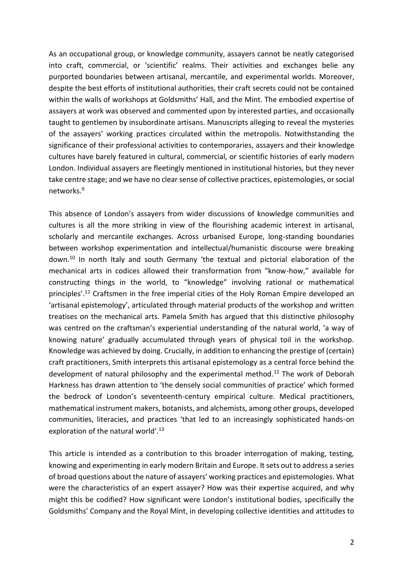As an occupational group, or knowledge community, assayers cannot be neatly categorised into craft, commercial, or 'scientific' realms. Their activities and exchanges belie any purported boundaries between artisanal, mercantile, and experimental worlds. Moreover, despite the best efforts of institutional authorities, their craft secrets could not be contained within the walls of workshops at Goldsmiths' Hall, and the Mint. The embodied expertise of assayers at work was observed and commented upon by interested parties, and occasionally taught to gentlemen by insubordinate artisans. Manuscripts alleging to reveal the mysteries of the assayers' working practices circulated within the metropolis. Notwithstanding the significance of their professional activities to contemporaries, assayers and their knowledge cultures have barely featured in cultural, commercial, or scientific histories of early modern London. Individual assayers are fleetingly mentioned in institutional histories, but they never take centre stage; and we have no clear sense of collective practices, epistemologies, or social networks.<sup>9</sup>

This absence of London's assayers from wider discussions of knowledge communities and cultures is all the more striking in view of the flourishing academic interest in artisanal, scholarly and mercantile exchanges. Across urbanised Europe, long-standing boundaries between workshop experimentation and intellectual/humanistic discourse were breaking down.<sup>10</sup> In north Italy and south Germany 'the textual and pictorial elaboration of the mechanical arts in codices allowed their transformation from "know-how," available for constructing things in the world, to "knowledge" involving rational or mathematical principles'.<sup>11</sup> Craftsmen in the free imperial cities of the Holy Roman Empire developed an 'artisanal epistemology', articulated through material products of the workshop and written treatises on the mechanical arts. Pamela Smith has argued that this distinctive philosophy was centred on the craftsman's experiential understanding of the natural world, 'a way of knowing nature' gradually accumulated through years of physical toil in the workshop. Knowledge was achieved by doing. Crucially, in addition to enhancing the prestige of (certain) craft practitioners, Smith interprets this artisanal epistemology as a central force behind the development of natural philosophy and the experimental method.<sup>12</sup> The work of Deborah Harkness has drawn attention to 'the densely social communities of practice' which formed the bedrock of London's seventeenth-century empirical culture. Medical practitioners, mathematical instrument makers, botanists, and alchemists, among other groups, developed communities, literacies, and practices 'that led to an increasingly sophisticated hands-on exploration of the natural world'.<sup>13</sup>

This article is intended as a contribution to this broader interrogation of making, testing, knowing and experimenting in early modern Britain and Europe. It sets out to address a series of broad questions about the nature of assayers' working practices and epistemologies. What were the characteristics of an expert assayer? How was their expertise acquired, and why might this be codified? How significant were London's institutional bodies, specifically the Goldsmiths' Company and the Royal Mint, in developing collective identities and attitudes to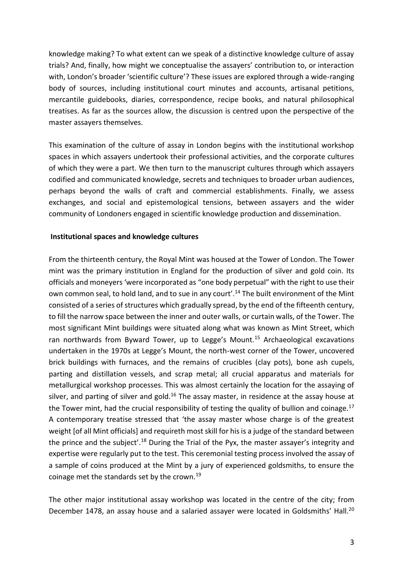knowledge making? To what extent can we speak of a distinctive knowledge culture of assay trials? And, finally, how might we conceptualise the assayers' contribution to, or interaction with, London's broader 'scientific culture'? These issues are explored through a wide-ranging body of sources, including institutional court minutes and accounts, artisanal petitions, mercantile guidebooks, diaries, correspondence, recipe books, and natural philosophical treatises. As far as the sources allow, the discussion is centred upon the perspective of the master assayers themselves.

This examination of the culture of assay in London begins with the institutional workshop spaces in which assayers undertook their professional activities, and the corporate cultures of which they were a part. We then turn to the manuscript cultures through which assayers codified and communicated knowledge, secrets and techniques to broader urban audiences, perhaps beyond the walls of craft and commercial establishments. Finally, we assess exchanges, and social and epistemological tensions, between assayers and the wider community of Londoners engaged in scientific knowledge production and dissemination.

#### **Institutional spaces and knowledge cultures**

From the thirteenth century, the Royal Mint was housed at the Tower of London. The Tower mint was the primary institution in England for the production of silver and gold coin. Its officials and moneyers 'were incorporated as "one body perpetual" with the right to use their own common seal, to hold land, and to sue in any court'.<sup>14</sup> The built environment of the Mint consisted of a series of structures which gradually spread, by the end of the fifteenth century, to fill the narrow space between the inner and outer walls, or curtain walls, of the Tower. The most significant Mint buildings were situated along what was known as Mint Street, which ran northwards from Byward Tower, up to Legge's Mount.<sup>15</sup> Archaeological excavations undertaken in the 1970s at Legge's Mount, the north-west corner of the Tower, uncovered brick buildings with furnaces, and the remains of crucibles (clay pots), bone ash cupels, parting and distillation vessels, and scrap metal; all crucial apparatus and materials for metallurgical workshop processes. This was almost certainly the location for the assaying of silver, and parting of silver and gold.<sup>16</sup> The assay master, in residence at the assay house at the Tower mint, had the crucial responsibility of testing the quality of bullion and coinage.<sup>17</sup> A contemporary treatise stressed that 'the assay master whose charge is of the greatest weight [of all Mint officials] and requireth most skill for his is a judge of the standard between the prince and the subject'.<sup>18</sup> During the Trial of the Pyx, the master assayer's integrity and expertise were regularly put to the test. This ceremonial testing process involved the assay of a sample of coins produced at the Mint by a jury of experienced goldsmiths, to ensure the coinage met the standards set by the crown.<sup>19</sup>

The other major institutional assay workshop was located in the centre of the city; from December 1478, an assay house and a salaried assayer were located in Goldsmiths' Hall.<sup>20</sup>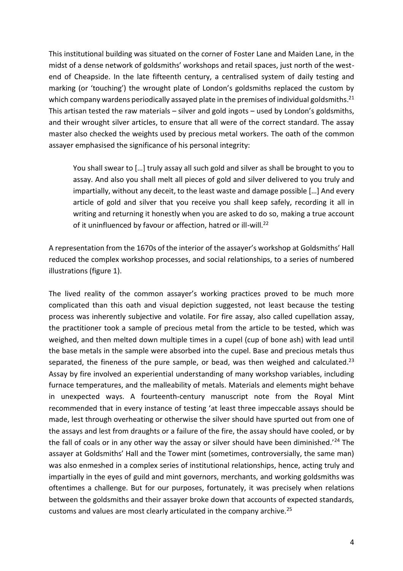This institutional building was situated on the corner of Foster Lane and Maiden Lane, in the midst of a dense network of goldsmiths' workshops and retail spaces, just north of the westend of Cheapside. In the late fifteenth century, a centralised system of daily testing and marking (or 'touching') the wrought plate of London's goldsmiths replaced the custom by which company wardens periodically assayed plate in the premises of individual goldsmiths.<sup>21</sup> This artisan tested the raw materials - silver and gold ingots - used by London's goldsmiths, and their wrought silver articles, to ensure that all were of the correct standard. The assay master also checked the weights used by precious metal workers. The oath of the common assayer emphasised the significance of his personal integrity:

You shall swear to [...] truly assay all such gold and silver as shall be brought to you to assay. And also you shall melt all pieces of gold and silver delivered to you truly and impartially, without any deceit, to the least waste and damage possible [...] And every article of gold and silver that you receive you shall keep safely, recording it all in writing and returning it honestly when you are asked to do so, making a true account of it uninfluenced by favour or affection, hatred or ill-will.<sup>22</sup>

A representation from the 1670s of the interior of the assayer's workshop at Goldsmiths' Hall reduced the complex workshop processes, and social relationships, to a series of numbered illustrations (figure 1).

The lived reality of the common assayer's working practices proved to be much more complicated than this oath and visual depiction suggested, not least because the testing process was inherently subjective and volatile. For fire assay, also called cupellation assay, the practitioner took a sample of precious metal from the article to be tested, which was weighed, and then melted down multiple times in a cupel (cup of bone ash) with lead until the base metals in the sample were absorbed into the cupel. Base and precious metals thus separated, the fineness of the pure sample, or bead, was then weighed and calculated.<sup>23</sup> Assay by fire involved an experiential understanding of many workshop variables, including furnace temperatures, and the malleability of metals. Materials and elements might behave in unexpected ways. A fourteenth-century manuscript note from the Royal Mint recommended that in every instance of testing 'at least three impeccable assays should be made, lest through overheating or otherwise the silver should have spurted out from one of the assays and lest from draughts or a failure of the fire, the assay should have cooled, or by the fall of coals or in any other way the assay or silver should have been diminished.<sup>'24</sup> The assayer at Goldsmiths' Hall and the Tower mint (sometimes, controversially, the same man) was also enmeshed in a complex series of institutional relationships, hence, acting truly and impartially in the eyes of guild and mint governors, merchants, and working goldsmiths was oftentimes a challenge. But for our purposes, fortunately, it was precisely when relations between the goldsmiths and their assayer broke down that accounts of expected standards, customs and values are most clearly articulated in the company archive.<sup>25</sup>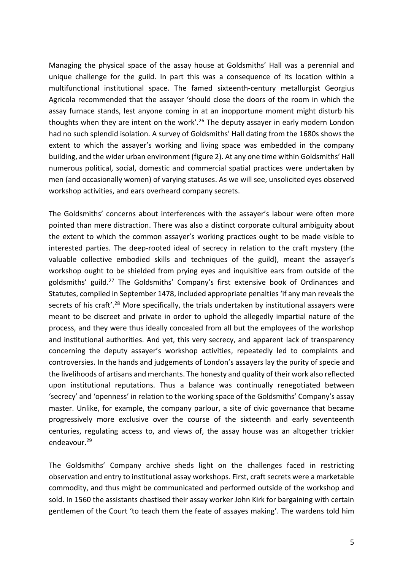Managing the physical space of the assay house at Goldsmiths' Hall was a perennial and unique challenge for the guild. In part this was a consequence of its location within a multifunctional institutional space. The famed sixteenth-century metallurgist Georgius Agricola recommended that the assayer 'should close the doors of the room in which the assay furnace stands, lest anyone coming in at an inopportune moment might disturb his thoughts when they are intent on the work'.<sup>26</sup> The deputy assayer in early modern London had no such splendid isolation. A survey of Goldsmiths' Hall dating from the 1680s shows the extent to which the assayer's working and living space was embedded in the company building, and the wider urban environment (figure 2). At any one time within Goldsmiths' Hall numerous political, social, domestic and commercial spatial practices were undertaken by men (and occasionally women) of varying statuses. As we will see, unsolicited eyes observed workshop activities, and ears overheard company secrets.

The Goldsmiths' concerns about interferences with the assayer's labour were often more pointed than mere distraction. There was also a distinct corporate cultural ambiguity about the extent to which the common assayer's working practices ought to be made visible to interested parties. The deep-rooted ideal of secrecy in relation to the craft mystery (the valuable collective embodied skills and techniques of the guild), meant the assayer's workshop ought to be shielded from prying eyes and inquisitive ears from outside of the goldsmiths' guild.<sup>27</sup> The Goldsmiths' Company's first extensive book of Ordinances and Statutes, compiled in September 1478, included appropriate penalties 'if any man reveals the secrets of his craft'.<sup>28</sup> More specifically, the trials undertaken by institutional assayers were meant to be discreet and private in order to uphold the allegedly impartial nature of the process, and they were thus ideally concealed from all but the employees of the workshop and institutional authorities. And yet, this very secrecy, and apparent lack of transparency concerning the deputy assayer's workshop activities, repeatedly led to complaints and controversies. In the hands and judgements of London's assayers lay the purity of specie and the livelihoods of artisans and merchants. The honesty and quality of their work also reflected upon institutional reputations. Thus a balance was continually renegotiated between 'secrecy' and 'openness' in relation to the working space of the Goldsmiths' Company's assay master. Unlike, for example, the company parlour, a site of civic governance that became progressively more exclusive over the course of the sixteenth and early seventeenth centuries, regulating access to, and views of, the assay house was an altogether trickier endeavour.<sup>29</sup>

The Goldsmiths' Company archive sheds light on the challenges faced in restricting observation and entry to institutional assay workshops. First, craft secrets were a marketable commodity, and thus might be communicated and performed outside of the workshop and sold. In 1560 the assistants chastised their assay worker John Kirk for bargaining with certain gentlemen of the Court 'to teach them the feate of assayes making'. The wardens told him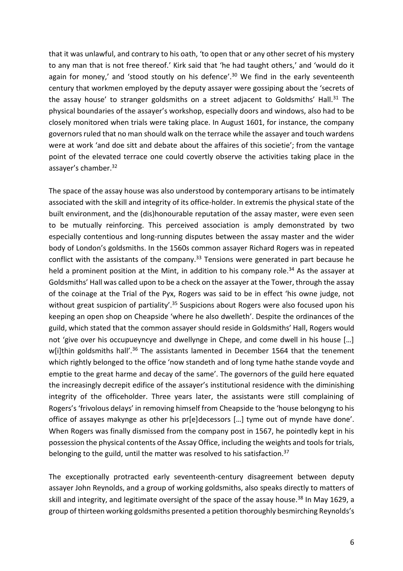that it was unlawful, and contrary to his oath, 'to open that or any other secret of his mystery to any man that is not free thereof.' Kirk said that 'he had taught others,' and 'would do it again for money,' and 'stood stoutly on his defence'.<sup>30</sup> We find in the early seventeenth century that workmen employed by the deputy assayer were gossiping about the 'secrets of the assay house' to stranger goldsmiths on a street adjacent to Goldsmiths' Hall.<sup>31</sup> The physical boundaries of the assayer's workshop, especially doors and windows, also had to be closely monitored when trials were taking place. In August 1601, for instance, the company governors ruled that no man should walk on the terrace while the assayer and touch wardens were at work 'and doe sitt and debate about the affaires of this societie'; from the vantage point of the elevated terrace one could covertly observe the activities taking place in the assayer's chamber.<sup>32</sup>

The space of the assay house was also understood by contemporary artisans to be intimately associated with the skill and integrity of its office-holder. In extremis the physical state of the built environment, and the (dis)honourable reputation of the assay master, were even seen to be mutually reinforcing. This perceived association is amply demonstrated by two especially contentious and long-running disputes between the assay master and the wider body of London's goldsmiths. In the 1560s common assayer Richard Rogers was in repeated conflict with the assistants of the company.<sup>33</sup> Tensions were generated in part because he held a prominent position at the Mint, in addition to his company role.<sup>34</sup> As the assayer at Goldsmiths' Hall was called upon to be a check on the assayer at the Tower, through the assay of the coinage at the Trial of the Pyx, Rogers was said to be in effect 'his owne judge, not without great suspicion of partiality'.<sup>35</sup> Suspicions about Rogers were also focused upon his keeping an open shop on Cheapside 'where he also dwelleth'. Despite the ordinances of the guild, which stated that the common assayer should reside in Goldsmiths' Hall, Rogers would not 'give over his occupueyncye and dwellynge in Chepe, and come dwell in his house [...] w[i]thin goldsmiths hall'.<sup>36</sup> The assistants lamented in December 1564 that the tenement which rightly belonged to the office 'now standeth and of long tyme hathe stande voyde and emptie to the great harme and decay of the same'. The governors of the guild here equated the increasingly decrepit edifice of the assayer's institutional residence with the diminishing integrity of the officeholder. Three years later, the assistants were still complaining of Rogers's 'frivolous delays' in removing himself from Cheapside to the 'house belongyng to his office of assayes makynge as other his pr[e]decessors [...] tyme out of mynde have done'. When Rogers was finally dismissed from the company post in 1567, he pointedly kept in his possession the physical contents of the Assay Office, including the weights and tools for trials, belonging to the guild, until the matter was resolved to his satisfaction.<sup>37</sup>

The exceptionally protracted early seventeenth-century disagreement between deputy assayer John Reynolds, and a group of working goldsmiths, also speaks directly to matters of skill and integrity, and legitimate oversight of the space of the assay house.<sup>38</sup> In May 1629, a group of thirteen working goldsmiths presented a petition thoroughly besmirching Reynolds's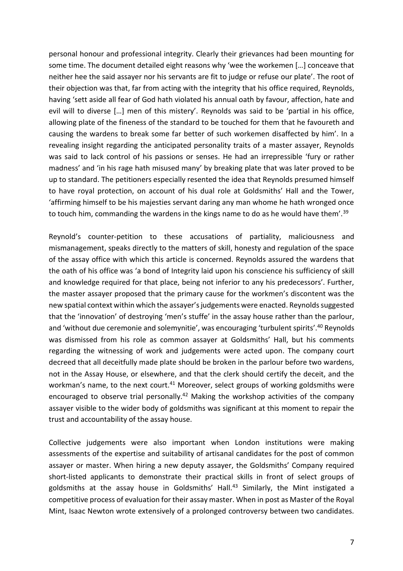personal honour and professional integrity. Clearly their grievances had been mounting for some time. The document detailed eight reasons why 'wee the workemen [...] conceave that neither hee the said assayer nor his servants are fit to judge or refuse our plate'. The root of their objection was that, far from acting with the integrity that his office required, Reynolds, having 'sett aside all fear of God hath violated his annual oath by favour, affection, hate and evil will to diverse [...] men of this mistery'. Reynolds was said to be 'partial in his office, allowing plate of the fineness of the standard to be touched for them that he favoureth and causing the wardens to break some far better of such workemen disaffected by him'. In a revealing insight regarding the anticipated personality traits of a master assayer, Reynolds was said to lack control of his passions or senses. He had an irrepressible 'fury or rather madness' and 'in his rage hath misused many' by breaking plate that was later proved to be up to standard. The petitioners especially resented the idea that Reynolds presumed himself to have royal protection, on account of his dual role at Goldsmiths' Hall and the Tower, 'affirming himself to be his majesties servant daring any man whome he hath wronged once to touch him, commanding the wardens in the kings name to do as he would have them'.<sup>39</sup>

Reynold's counter-petition to these accusations of partiality, maliciousness and mismanagement, speaks directly to the matters of skill, honesty and regulation of the space of the assay office with which this article is concerned. Reynolds assured the wardens that the oath of his office was 'a bond of Integrity laid upon his conscience his sufficiency of skill and knowledge required for that place, being not inferior to any his predecessors'. Further, the master assayer proposed that the primary cause for the workmen's discontent was the new spatial context within which the assayer's judgements were enacted. Reynolds suggested that the 'innovation' of destroying 'men's stuffe' in the assay house rather than the parlour, and 'without due ceremonie and solemynitie', was encouraging 'turbulent spirits'.<sup>40</sup> Reynolds was dismissed from his role as common assayer at Goldsmiths' Hall, but his comments regarding the witnessing of work and judgements were acted upon. The company court decreed that all deceitfully made plate should be broken in the parlour before two wardens, not in the Assay House, or elsewhere, and that the clerk should certify the deceit, and the workman's name, to the next court.<sup>41</sup> Moreover, select groups of working goldsmiths were encouraged to observe trial personally.<sup>42</sup> Making the workshop activities of the company assayer visible to the wider body of goldsmiths was significant at this moment to repair the trust and accountability of the assay house.

Collective judgements were also important when London institutions were making assessments of the expertise and suitability of artisanal candidates for the post of common assayer or master. When hiring a new deputy assayer, the Goldsmiths' Company required short-listed applicants to demonstrate their practical skills in front of select groups of goldsmiths at the assay house in Goldsmiths' Hall.<sup>43</sup> Similarly, the Mint instigated a competitive process of evaluation for their assay master. When in post as Master of the Royal Mint, Isaac Newton wrote extensively of a prolonged controversy between two candidates.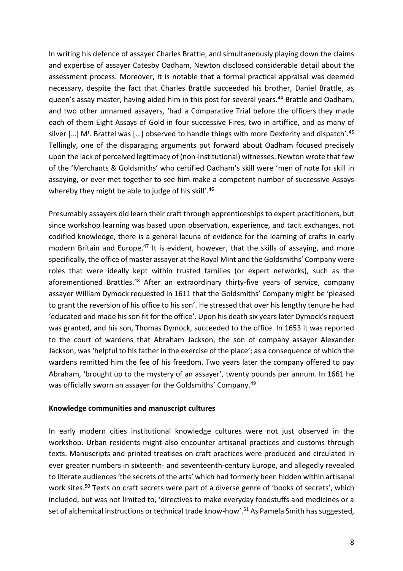In writing his defence of assayer Charles Brattle, and simultaneously playing down the claims and expertise of assayer Catesby Oadham, Newton disclosed considerable detail about the assessment process. Moreover, it is notable that a formal practical appraisal was deemed necessary, despite the fact that Charles Brattle succeeded his brother, Daniel Brattle, as queen's assay master, having aided him in this post for several years.<sup>44</sup> Brattle and Oadham, and two other unnamed assayers, 'had a Comparative Trial before the officers they made each of them Eight Assays of Gold in four successive Fires, two in artiffice, and as many of silver [...] M<sup>r</sup>. Brattel was [...] observed to handle things with more Dexterity and dispatch'.<sup>45</sup> Tellingly, one of the disparaging arguments put forward about Oadham focused precisely upon the lack of perceived legitimacy of (non-institutional) witnesses. Newton wrote that few of the 'Merchants & Goldsmiths' who certified Oadham's skill were 'men of note for skill in assaying, or ever met together to see him make a competent number of successive Assays whereby they might be able to judge of his skill'.<sup>46</sup>

Presumably assayers did learn their craft through apprenticeships to expert practitioners, but since workshop learning was based upon observation, experience, and tacit exchanges, not codified knowledge, there is a general lacuna of evidence for the learning of crafts in early modern Britain and Europe.<sup>47</sup> It is evident, however, that the skills of assaying, and more specifically, the office of master assayer at the Royal Mint and the Goldsmiths' Company were roles that were ideally kept within trusted families (or expert networks), such as the aforementioned Brattles.<sup>48</sup> After an extraordinary thirty-five years of service, company assayer William Dymock requested in 1611 that the Goldsmiths' Company might be 'pleased to grant the reversion of his office to his son'. He stressed that over his lengthy tenure he had 'educated and made his son fit for the office'. Upon his death six years later Dymock's request was granted, and his son, Thomas Dymock, succeeded to the office. In 1653 it was reported to the court of wardens that Abraham Jackson, the son of company assayer Alexander Jackson, was 'helpful to his father in the exercise of the place'; as a consequence of which the wardens remitted him the fee of his freedom. Two years later the company offered to pay Abraham, 'brought up to the mystery of an assayer', twenty pounds per annum. In 1661 he was officially sworn an assayer for the Goldsmiths' Company.<sup>49</sup>

## Knowledge communities and manuscript cultures

In early modern cities institutional knowledge cultures were not just observed in the workshop. Urban residents might also encounter artisanal practices and customs through texts. Manuscripts and printed treatises on craft practices were produced and circulated in ever greater numbers in sixteenth- and seventeenth-century Europe, and allegedly revealed to literate audiences 'the secrets of the arts' which had formerly been hidden within artisanal work sites.<sup>50</sup> Texts on craft secrets were part of a diverse genre of 'books of secrets', which included, but was not limited to, 'directives to make everyday foodstuffs and medicines or a set of alchemical instructions or technical trade know-how'.<sup>51</sup> As Pamela Smith has suggested,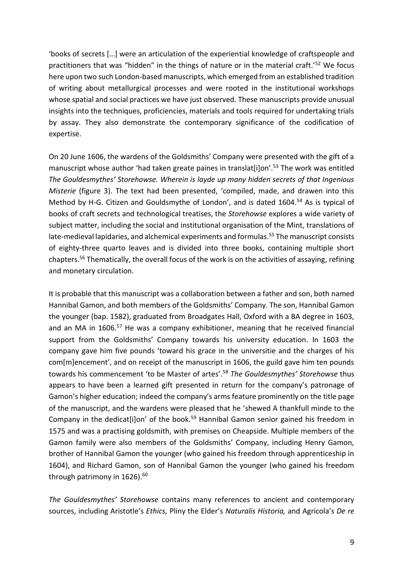'books of secrets [...] were an articulation of the experiential knowledge of craftspeople and practitioners that was "hidden" in the things of nature or in the material craft.'<sup>52</sup> We focus here upon two such London-based manuscripts, which emerged from an established tradition of writing about metallurgical processes and were rooted in the institutional workshops whose spatial and social practices we have just observed. These manuscripts provide unusual insights into the techniques, proficiencies, materials and tools required for undertaking trials by assay. They also demonstrate the contemporary significance of the codification of expertise.

On 20 June 1606, the wardens of the Goldsmiths' Company were presented with the gift of a manuscript whose author 'had taken greate paines in translat[i] on'.<sup>53</sup> The work was entitled The Gouldesmythes' Storehowse. Wherein is layde up many hidden secrets of that Ingenious Misterie (figure 3). The text had been presented, 'compiled, made, and drawen into this Method by H-G. Citizen and Gouldsmythe of London', and is dated 1604.<sup>54</sup> As is typical of books of craft secrets and technological treatises, the Storehowse explores a wide variety of subject matter, including the social and institutional organisation of the Mint, translations of late-medieval lapidaries, and alchemical experiments and formulas.<sup>55</sup> The manuscript consists of eighty-three quarto leaves and is divided into three books, containing multiple short chapters.<sup>56</sup> Thematically, the overall focus of the work is on the activities of assaying, refining and monetary circulation.

It is probable that this manuscript was a collaboration between a father and son, both named Hannibal Gamon, and both members of the Goldsmiths' Company. The son, Hannibal Gamon the younger (bap. 1582), graduated from Broadgates Hall, Oxford with a BA degree in 1603, and an MA in 1606.<sup>57</sup> He was a company exhibitioner, meaning that he received financial support from the Goldsmiths' Company towards his university education. In 1603 the company gave him five pounds 'toward his grace in the universitie and the charges of his com[m]encement', and on receipt of the manuscript in 1606, the guild gave him ten pounds towards his commencement 'to be Master of artes'.<sup>58</sup> The Gouldesmythes' Storehowse thus appears to have been a learned gift presented in return for the company's patronage of Gamon's higher education; indeed the company's arms feature prominently on the title page of the manuscript, and the wardens were pleased that he 'shewed A thankfull minde to the Company in the dedicat[i]on' of the book.<sup>59</sup> Hannibal Gamon senior gained his freedom in 1575 and was a practising goldsmith, with premises on Cheapside. Multiple members of the Gamon family were also members of the Goldsmiths' Company, including Henry Gamon, brother of Hannibal Gamon the younger (who gained his freedom through apprenticeship in 1604), and Richard Gamon, son of Hannibal Gamon the younger (who gained his freedom through patrimony in 1626).<sup>60</sup>

The Gouldesmythes' Storehowse contains many references to ancient and contemporary sources, including Aristotle's Ethics, Pliny the Elder's Naturalis Historia, and Agricola's De re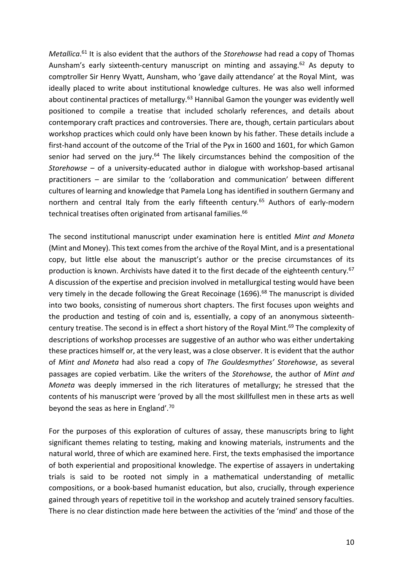*Metallica*. <sup>61</sup> It is also evident that the authors of the *Storehowse* had read a copy of Thomas Aunsham's early sixteenth-century manuscript on minting and assaying.<sup>62</sup> As deputy to comptroller Sir Henry Wyatt, Aunsham, who 'gave daily attendance' at the Royal Mint, was ideally placed to write about institutional knowledge cultures. He was also well informed about continental practices of metallurgy.<sup>63</sup> Hannibal Gamon the younger was evidently well positioned to compile a treatise that included scholarly references, and details about contemporary craft practices and controversies. There are, though, certain particulars about workshop practices which could only have been known by his father. These details include a first-hand account of the outcome of the Trial of the Pyx in 1600 and 1601, for which Gamon senior had served on the jury.<sup>64</sup> The likely circumstances behind the composition of the *Storehowse* – of a university-educated author in dialogue with workshop-based artisanal practitioners – are similar to the 'collaboration and communication' between different cultures of learning and knowledge that Pamela Long has identified in southern Germany and northern and central Italy from the early fifteenth century.<sup>65</sup> Authors of early-modern technical treatises often originated from artisanal families.<sup>66</sup>

The second institutional manuscript under examination here is entitled *Mint and Moneta*  (Mint and Money). This text comes from the archive of the Royal Mint, and is a presentational copy, but little else about the manuscript's author or the precise circumstances of its production is known. Archivists have dated it to the first decade of the eighteenth century.<sup>67</sup> A discussion of the expertise and precision involved in metallurgical testing would have been very timely in the decade following the Great Recoinage (1696).<sup>68</sup> The manuscript is divided into two books, consisting of numerous short chapters. The first focuses upon weights and the production and testing of coin and is, essentially, a copy of an anonymous sixteenthcentury treatise. The second is in effect a short history of the Royal Mint.<sup>69</sup> The complexity of descriptions of workshop processes are suggestive of an author who was either undertaking these practices himself or, at the very least, was a close observer. It is evident that the author of *Mint and Moneta* had also read a copy of *The Gouldesŵythes' Storehowse*, as several passages are copied verbatim. Like the writers of the *Storehowse*, the author of *Mint and Moneta* was deeply immersed in the rich literatures of metallurgy; he stressed that the contents of his manuscript were 'proved by all the most skillfullest men in these arts as well beyond the seas as here in England'.<sup>70</sup>

For the purposes of this exploration of cultures of assay, these manuscripts bring to light significant themes relating to testing, making and knowing materials, instruments and the natural world, three of which are examined here. First, the texts emphasised the importance of both experiential and propositional knowledge. The expertise of assayers in undertaking trials is said to be rooted not simply in a mathematical understanding of metallic compositions, or a book-based humanist education, but also, crucially, through experience gained through years of repetitive toil in the workshop and acutely trained sensory faculties. There is no clear distinction made here between the activities of the 'mind' and those of the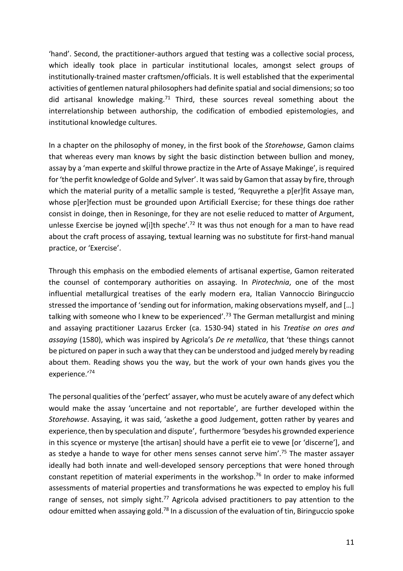'hand'. Second, the practitioner-authors argued that testing was a collective social process, which ideally took place in particular institutional locales, amongst select groups of institutionally-trained master craftsmen/officials. It is well established that the experimental activities of gentlemen natural philosophers had definite spatial and social dimensions; so too did artisanal knowledge making.<sup>71</sup> Third, these sources reveal something about the interrelationship between authorship, the codification of embodied epistemologies, and institutional knowledge cultures.

In a chapter on the philosophy of money, in the first book of the Storehowse, Gamon claims that whereas every man knows by sight the basic distinction between bullion and money, assay by a 'man experte and skilful throwe practize in the Arte of Assaye Makinge', is required for 'the perfit knowledge of Golde and Sylver'. It was said by Gamon that assay by fire, through which the material purity of a metallic sample is tested, 'Requyrethe a p[er]fit Assaye man, whose p[er]fection must be grounded upon Artificiall Exercise; for these things doe rather consist in doinge, then in Resoninge, for they are not eselie reduced to matter of Argument, unlesse Exercise be joyned w[i]th speche'.<sup>72</sup> It was thus not enough for a man to have read about the craft process of assaying, textual learning was no substitute for first-hand manual practice, or 'Exercise'.

Through this emphasis on the embodied elements of artisanal expertise, Gamon reiterated the counsel of contemporary authorities on assaying. In Pirotechnia, one of the most influential metallurgical treatises of the early modern era, Italian Vannoccio Biringuccio stressed the importance of 'sending out for information, making observations myself, and [...] talking with someone who I knew to be experienced'.<sup>73</sup> The German metallurgist and mining and assaying practitioner Lazarus Ercker (ca. 1530-94) stated in his Treatise on ores and assaying (1580), which was inspired by Agricola's De re metallica, that 'these things cannot be pictured on paper in such a way that they can be understood and judged merely by reading about them. Reading shows you the way, but the work of your own hands gives you the experience.'74

The personal qualities of the 'perfect' assayer, who must be acutely aware of any defect which would make the assay 'uncertaine and not reportable', are further developed within the Storehowse. Assaying, it was said, 'askethe a good Judgement, gotten rather by yeares and experience, then by speculation and dispute', furthermore 'besydes his grownded experience in this scyence or mysterye [the artisan] should have a perfit eie to vewe [or 'discerne'], and as stedye a hande to waye for other mens senses cannot serve him'.<sup>75</sup> The master assayer ideally had both innate and well-developed sensory perceptions that were honed through constant repetition of material experiments in the workshop.<sup>76</sup> In order to make informed assessments of material properties and transformations he was expected to employ his full range of senses, not simply sight.<sup>77</sup> Agricola advised practitioners to pay attention to the odour emitted when assaying gold.<sup>78</sup> In a discussion of the evaluation of tin, Biringuccio spoke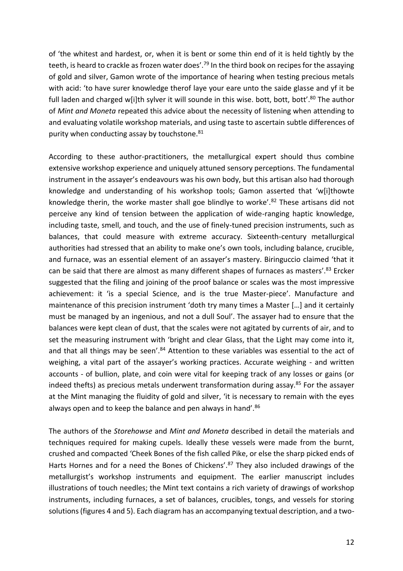of 'the whitest and hardest, or, when it is bent or some thin end of it is held tightly by the teeth, is heard to crackle as frozen water does'.<sup>79</sup> In the third book on recipes for the assaying of gold and silver, Gamon wrote of the importance of hearing when testing precious metals with acid: 'to have surer knowledge therof laye your eare unto the saide glasse and yf it be full laden and charged w[i]th sylver it will sounde in this wise. bott, bott, bott'.<sup>80</sup> The author of Mint and Moneta repeated this advice about the necessity of listening when attending to and evaluating volatile workshop materials, and using taste to ascertain subtle differences of purity when conducting assay by touchstone.<sup>81</sup>

According to these author-practitioners, the metallurgical expert should thus combine extensive workshop experience and uniquely attuned sensory perceptions. The fundamental instrument in the assayer's endeavours was his own body, but this artisan also had thorough knowledge and understanding of his workshop tools; Gamon asserted that 'w[i]thowte knowledge therin, the worke master shall goe blindlye to worke'.<sup>82</sup> These artisans did not perceive any kind of tension between the application of wide-ranging haptic knowledge, including taste, smell, and touch, and the use of finely-tuned precision instruments, such as balances, that could measure with extreme accuracy. Sixteenth-century metallurgical authorities had stressed that an ability to make one's own tools, including balance, crucible, and furnace, was an essential element of an assayer's mastery. Biringuccio claimed 'that it can be said that there are almost as many different shapes of furnaces as masters'.<sup>83</sup> Ercker suggested that the filing and joining of the proof balance or scales was the most impressive achievement: it 'is a special Science, and is the true Master-piece'. Manufacture and maintenance of this precision instrument 'doth try many times a Master [...] and it certainly must be managed by an ingenious, and not a dull Soul'. The assayer had to ensure that the balances were kept clean of dust, that the scales were not agitated by currents of air, and to set the measuring instrument with 'bright and clear Glass, that the Light may come into it, and that all things may be seen'.<sup>84</sup> Attention to these variables was essential to the act of weighing, a vital part of the assayer's working practices. Accurate weighing - and written accounts - of bullion, plate, and coin were vital for keeping track of any losses or gains (or indeed thefts) as precious metals underwent transformation during assay.<sup>85</sup> For the assayer at the Mint managing the fluidity of gold and silver, 'it is necessary to remain with the eyes always open and to keep the balance and pen always in hand'. 86

The authors of the Storehowse and Mint and Moneta described in detail the materials and techniques required for making cupels. Ideally these vessels were made from the burnt, crushed and compacted 'Cheek Bones of the fish called Pike, or else the sharp picked ends of Harts Hornes and for a need the Bones of Chickens'.<sup>87</sup> They also included drawings of the metallurgist's workshop instruments and equipment. The earlier manuscript includes illustrations of touch needles; the Mint text contains a rich variety of drawings of workshop instruments, including furnaces, a set of balances, crucibles, tongs, and vessels for storing solutions (figures 4 and 5). Each diagram has an accompanying textual description, and a two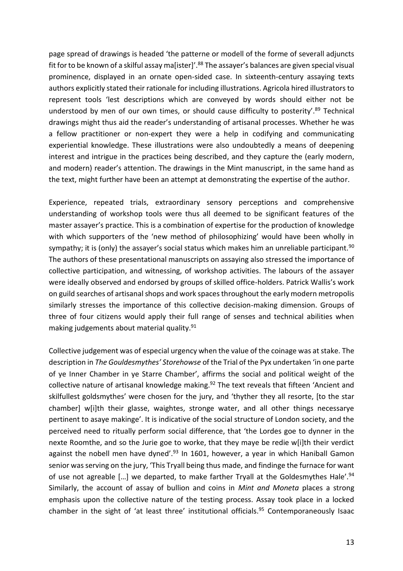page spread of drawings is headed 'the patterne or modell of the forme of severall adjuncts fit for to be known of a skilful assay ma[ister]'.<sup>88</sup> The assayer's balances are given special visual prominence, displayed in an ornate open-sided case. In sixteenth-century assaying texts authors explicitly stated their rationale for including illustrations. Agricola hired illustrators to represent tools 'lest descriptions which are conveyed by words should either not be understood by men of our own times, or should cause difficulty to posterity'.<sup>89</sup> Technical drawings might thus aid the reader's understanding of artisanal processes. Whether he was a fellow practitioner or non-expert they were a help in codifying and communicating experiential knowledge. These illustrations were also undoubtedly a means of deepening interest and intrigue in the practices being described, and they capture the (early modern, and modern) reader's attention. The drawings in the Mint manuscript, in the same hand as the text, might further have been an attempt at demonstrating the expertise of the author.

Experience, repeated trials, extraordinary sensory perceptions and comprehensive understanding of workshop tools were thus all deemed to be significant features of the master assayer's practice. This is a combination of expertise for the production of knowledge with which supporters of the 'new method of philosophizing' would have been wholly in sympathy; it is (only) the assayer's social status which makes him an unreliable participant.<sup>90</sup> The authors of these presentational manuscripts on assaying also stressed the importance of collective participation, and witnessing, of workshop activities. The labours of the assayer were ideally observed and endorsed by groups of skilled office-holders. Patrick Wallis's work on guild searches of artisanal shops and work spaces throughout the early modern metropolis similarly stresses the importance of this collective decision-making dimension. Groups of three of four citizens would apply their full range of senses and technical abilities when making judgements about material quality.<sup>91</sup>

Collective judgement was of especial urgency when the value of the coinage was at stake. The description in The Gouldesmythes' Storehowse of the Trial of the Pyx undertaken 'in one parte of ye Inner Chamber in ye Starre Chamber', affirms the social and political weight of the collective nature of artisanal knowledge making.<sup>92</sup> The text reveals that fifteen 'Ancient and skilfullest goldsmythes' were chosen for the jury, and 'thyther they all resorte, [to the star chamber] w[i]th their glasse, waightes, stronge water, and all other things necessarye pertinent to asaye makinge'. It is indicative of the social structure of London society, and the perceived need to ritually perform social difference, that 'the Lordes goe to dynner in the nexte Roomthe, and so the Jurie goe to worke, that they maye be redie w[i]th their verdict against the nobell men have dyned'.<sup>93</sup> In 1601, however, a year in which Haniball Gamon senior was serving on the jury, 'This Tryall being thus made, and findinge the furnace for want of use not agreable [...] we departed, to make farther Tryall at the Goldesmythes Hale'.<sup>94</sup> Similarly, the account of assay of bullion and coins in Mint and Moneta places a strong emphasis upon the collective nature of the testing process. Assay took place in a locked chamber in the sight of 'at least three' institutional officials.<sup>95</sup> Contemporaneously Isaac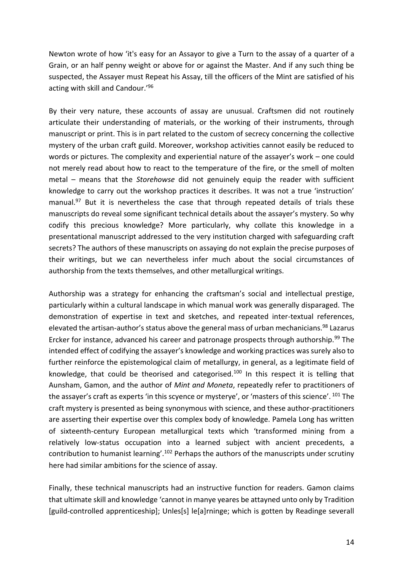Newton wrote of how 'it's easy for an Assayor to give a Turn to the assay of a quarter of a Grain, or an half penny weight or above for or against the Master. And if any such thing be suspected, the Assayer must Repeat his Assay, till the officers of the Mint are satisfied of his acting with skill and Candour.'96

By their very nature, these accounts of assay are unusual. Craftsmen did not routinely articulate their understanding of materials, or the working of their instruments, through manuscript or print. This is in part related to the custom of secrecy concerning the collective mystery of the urban craft guild. Moreover, workshop activities cannot easily be reduced to words or pictures. The complexity and experiential nature of the assayer's work – one could not merely read about how to react to the temperature of the fire, or the smell of molten metal – means that the Storehowse did not genuinely equip the reader with sufficient knowledge to carry out the workshop practices it describes. It was not a true 'instruction' manual.<sup>97</sup> But it is nevertheless the case that through repeated details of trials these manuscripts do reveal some significant technical details about the assayer's mystery. So why codify this precious knowledge? More particularly, why collate this knowledge in a presentational manuscript addressed to the very institution charged with safeguarding craft secrets? The authors of these manuscripts on assaying do not explain the precise purposes of their writings, but we can nevertheless infer much about the social circumstances of authorship from the texts themselves, and other metallurgical writings.

Authorship was a strategy for enhancing the craftsman's social and intellectual prestige, particularly within a cultural landscape in which manual work was generally disparaged. The demonstration of expertise in text and sketches, and repeated inter-textual references, elevated the artisan-author's status above the general mass of urban mechanicians.<sup>98</sup> Lazarus Ercker for instance, advanced his career and patronage prospects through authorship.<sup>99</sup> The intended effect of codifying the assayer's knowledge and working practices was surely also to further reinforce the epistemological claim of metallurgy, in general, as a legitimate field of knowledge, that could be theorised and categorised.<sup>100</sup> In this respect it is telling that Aunsham, Gamon, and the author of Mint and Moneta, repeatedly refer to practitioners of the assayer's craft as experts 'in this scyence or mysterye', or 'masters of this science'. 101 The craft mystery is presented as being synonymous with science, and these author-practitioners are asserting their expertise over this complex body of knowledge. Pamela Long has written of sixteenth-century European metallurgical texts which 'transformed mining from a relatively low-status occupation into a learned subject with ancient precedents, a contribution to humanist learning'.<sup>102</sup> Perhaps the authors of the manuscripts under scrutiny here had similar ambitions for the science of assay.

Finally, these technical manuscripts had an instructive function for readers. Gamon claims that ultimate skill and knowledge 'cannot in manye yeares be attayned unto only by Tradition [guild-controlled apprenticeship]; Unles[s] le[a]rninge; which is gotten by Readinge severall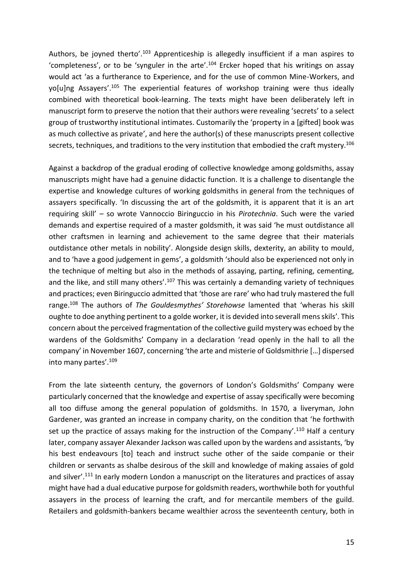Authors, be joyned therto'.<sup>103</sup> Apprenticeship is allegedly insufficient if a man aspires to 'completeness', or to be 'synguler in the arte'.<sup>104</sup> Ercker hoped that his writings on assay would act 'as a furtherance to Experience, and for the use of common Mine-Workers, and yo[u]ng Assayers'.<sup>105</sup> The experiential features of workshop training were thus ideally combined with theoretical book-learning. The texts might have been deliberately left in manuscript form to preserve the notion that their authors were revealing 'secrets' to a select group of trustworthy institutional intimates. Customarily the 'property in a [gifted] book was as much collective as private', and here the author(s) of these manuscripts present collective secrets, techniques, and traditions to the very institution that embodied the craft mystery.<sup>106</sup>

Against a backdrop of the gradual eroding of collective knowledge among goldsmiths, assay manuscripts might have had a genuine didactic function. It is a challenge to disentangle the expertise and knowledge cultures of working goldsmiths in general from the techniques of assayers specifically. 'In discussing the art of the goldsmith, it is apparent that it is an art requiring skill' - so wrote Vannoccio Biringuccio in his Pirotechnia. Such were the varied demands and expertise required of a master goldsmith, it was said 'he must outdistance all other craftsmen in learning and achievement to the same degree that their materials outdistance other metals in nobility'. Alongside design skills, dexterity, an ability to mould, and to 'have a good judgement in gems', a goldsmith 'should also be experienced not only in the technique of melting but also in the methods of assaying, parting, refining, cementing, and the like, and still many others'.<sup>107</sup> This was certainly a demanding variety of techniques and practices; even Biringuccio admitted that 'those are rare' who had truly mastered the full range.<sup>108</sup> The authors of The Gouldesmythes' Storehowse lamented that 'wheras his skill oughte to doe anything pertinent to a golde worker, it is devided into severall mens skils'. This concern about the perceived fragmentation of the collective guild mystery was echoed by the wardens of the Goldsmiths' Company in a declaration 'read openly in the hall to all the company' in November 1607, concerning 'the arte and misterie of Goldsmithrie [...] dispersed into many partes'.<sup>109</sup>

From the late sixteenth century, the governors of London's Goldsmiths' Company were particularly concerned that the knowledge and expertise of assay specifically were becoming all too diffuse among the general population of goldsmiths. In 1570, a liveryman, John Gardener, was granted an increase in company charity, on the condition that 'he forthwith set up the practice of assays making for the instruction of the Company'.<sup>110</sup> Half a century later, company assayer Alexander Jackson was called upon by the wardens and assistants, 'by his best endeavours [to] teach and instruct suche other of the saide companie or their children or servants as shalbe desirous of the skill and knowledge of making assaies of gold and silver'.<sup>111</sup> In early modern London a manuscript on the literatures and practices of assay might have had a dual educative purpose for goldsmith readers, worthwhile both for youthful assayers in the process of learning the craft, and for mercantile members of the guild. Retailers and goldsmith-bankers became wealthier across the seventeenth century, both in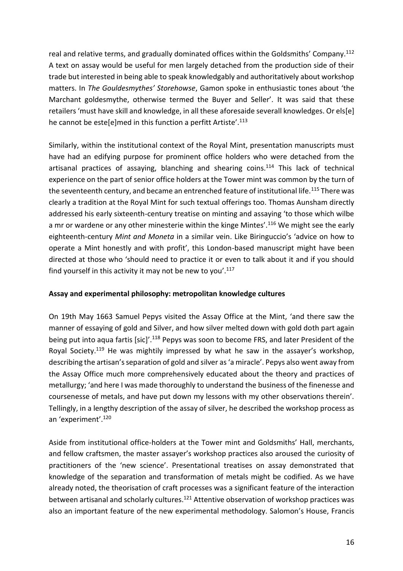real and relative terms, and gradually dominated offices within the Goldsmiths' Company.<sup>112</sup> A text on assay would be useful for men largely detached from the production side of their trade but interested in being able to speak knowledgably and authoritatively about workshop matters. In The Gouldesmythes' Storehowse, Gamon spoke in enthusiastic tones about 'the Marchant goldesmythe, otherwise termed the Buyer and Seller'. It was said that these retailers 'must have skill and knowledge, in all these aforesaide severall knowledges. Or els[e] he cannot be estelelmed in this function a perfitt Artiste'.<sup>113</sup>

Similarly, within the institutional context of the Royal Mint, presentation manuscripts must have had an edifying purpose for prominent office holders who were detached from the artisanal practices of assaying, blanching and shearing coins.<sup>114</sup> This lack of technical experience on the part of senior office holders at the Tower mint was common by the turn of the seventeenth century, and became an entrenched feature of institutional life.<sup>115</sup> There was clearly a tradition at the Royal Mint for such textual offerings too. Thomas Aunsham directly addressed his early sixteenth-century treatise on minting and assaying 'to those which wilbe a mr or wardene or any other minesterie within the kinge Mintes'.<sup>116</sup> We might see the early eighteenth-century Mint and Moneta in a similar vein. Like Biringuccio's 'advice on how to operate a Mint honestly and with profit', this London-based manuscript might have been directed at those who 'should need to practice it or even to talk about it and if you should find yourself in this activity it may not be new to you'.<sup>117</sup>

## Assay and experimental philosophy: metropolitan knowledge cultures

On 19th May 1663 Samuel Pepys visited the Assay Office at the Mint, 'and there saw the manner of essaying of gold and Silver, and how silver melted down with gold doth part again being put into aqua fartis [sic]'.<sup>118</sup> Pepys was soon to become FRS, and later President of the Royal Society.<sup>119</sup> He was mightily impressed by what he saw in the assayer's workshop, describing the artisan's separation of gold and silver as 'a miracle'. Pepys also went away from the Assay Office much more comprehensively educated about the theory and practices of metallurgy; 'and here I was made thoroughly to understand the business of the finenesse and coursenesse of metals, and have put down my lessons with my other observations therein'. Tellingly, in a lengthy description of the assay of silver, he described the workshop process as an 'experiment'.<sup>120</sup>

Aside from institutional office-holders at the Tower mint and Goldsmiths' Hall, merchants, and fellow craftsmen, the master assayer's workshop practices also aroused the curiosity of practitioners of the 'new science'. Presentational treatises on assay demonstrated that knowledge of the separation and transformation of metals might be codified. As we have already noted, the theorisation of craft processes was a significant feature of the interaction between artisanal and scholarly cultures.<sup>121</sup> Attentive observation of workshop practices was also an important feature of the new experimental methodology. Salomon's House, Francis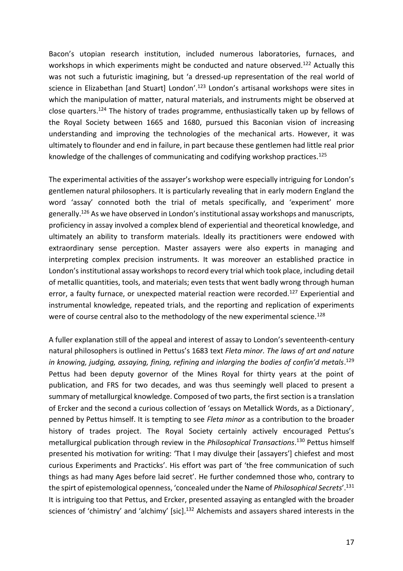Bacon's utopian research institution, included numerous laboratories, furnaces, and workshops in which experiments might be conducted and nature observed.<sup>122</sup> Actually this was not such a futuristic imagining, but 'a dressed-up representation of the real world of science in Elizabethan [and Stuart] London'.<sup>123</sup> London's artisanal workshops were sites in which the manipulation of matter, natural materials, and instruments might be observed at close quarters.<sup>124</sup> The history of trades programme, enthusiastically taken up by fellows of the Royal Society between 1665 and 1680, pursued this Baconian vision of increasing understanding and improving the technologies of the mechanical arts. However, it was ultimately to flounder and end in failure, in part because these gentlemen had little real prior knowledge of the challenges of communicating and codifying workshop practices.<sup>125</sup>

The experimental activities of the assayer's workshop were especially intriguing for London's gentlemen natural philosophers. It is particularly revealing that in early modern England the word 'assay' connoted both the trial of metals specifically, and 'experiment' more generally.<sup>126</sup> As we have observed in London's institutional assay workshops and manuscripts, proficiency in assay involved a complex blend of experiential and theoretical knowledge, and ultimately an ability to transform materials. Ideally its practitioners were endowed with extraordinary sense perception. Master assayers were also experts in managing and interpreting complex precision instruments. It was moreover an established practice in London's institutional assay workshops to record every trial which took place, including detail of metallic quantities, tools, and materials; even tests that went badly wrong through human error, a faulty furnace, or unexpected material reaction were recorded.<sup>127</sup> Experiential and instrumental knowledge, repeated trials, and the reporting and replication of experiments were of course central also to the methodology of the new experimental science.<sup>128</sup>

A fuller explanation still of the appeal and interest of assay to London's seventeenth-century natural philosophers is outlined in Pettus's 1683 text Fleta minor. The laws of art and nature in knowing, judging, assaying, fining, refining and inlarging the bodies of confin'd metals.<sup>129</sup> Pettus had been deputy governor of the Mines Royal for thirty years at the point of publication, and FRS for two decades, and was thus seemingly well placed to present a summary of metallurgical knowledge. Composed of two parts, the first section is a translation of Ercker and the second a curious collection of 'essays on Metallick Words, as a Dictionary', penned by Pettus himself. It is tempting to see Fleta minor as a contribution to the broader history of trades project. The Royal Society certainly actively encouraged Pettus's metallurgical publication through review in the Philosophical Transactions.<sup>130</sup> Pettus himself presented his motivation for writing: 'That I may divulge their [assayers'] chiefest and most curious Experiments and Practicks'. His effort was part of 'the free communication of such things as had many Ages before laid secret'. He further condemned those who, contrary to the spirt of epistemological openness, 'concealed under the Name of Philosophical Secrets'.<sup>131</sup> It is intriguing too that Pettus, and Ercker, presented assaying as entangled with the broader sciences of 'chimistry' and 'alchimy' [sic].<sup>132</sup> Alchemists and assayers shared interests in the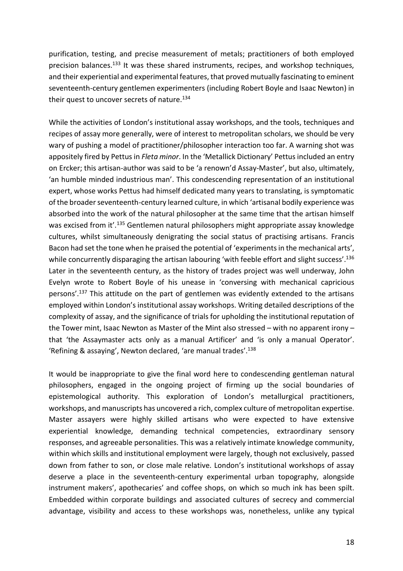purification, testing, and precise measurement of metals; practitioners of both employed precision balances.<sup>133</sup> It was these shared instruments, recipes, and workshop techniques, and their experiential and experimental features, that proved mutually fascinating to eminent seventeenth-century gentlemen experimenters (including Robert Boyle and Isaac Newton) in their quest to uncover secrets of nature.<sup>134</sup>

While the activities of London's institutional assay workshops, and the tools, techniques and recipes of assay more generally, were of interest to metropolitan scholars, we should be very wary of pushing a model of practitioner/philosopher interaction too far. A warning shot was appositely fired by Pettus in Fleta minor. In the 'Metallick Dictionary' Pettus included an entry on Ercker; this artisan-author was said to be 'a renown'd Assay-Master', but also, ultimately, 'an humble minded industrious man'. This condescending representation of an institutional expert, whose works Pettus had himself dedicated many years to translating, is symptomatic of the broader seventeenth-century learned culture, in which 'artisanal bodily experience was absorbed into the work of the natural philosopher at the same time that the artisan himself was excised from it'.<sup>135</sup> Gentlemen natural philosophers might appropriate assay knowledge cultures, whilst simultaneously denigrating the social status of practising artisans. Francis Bacon had set the tone when he praised the potential of 'experiments in the mechanical arts', while concurrently disparaging the artisan labouring 'with feeble effort and slight success'.<sup>136</sup> Later in the seventeenth century, as the history of trades project was well underway, John Evelyn wrote to Robert Boyle of his unease in 'conversing with mechanical capricious persons'.<sup>137</sup> This attitude on the part of gentlemen was evidently extended to the artisans employed within London's institutional assay workshops. Writing detailed descriptions of the complexity of assay, and the significance of trials for upholding the institutional reputation of the Tower mint, Isaac Newton as Master of the Mint also stressed  $-$  with no apparent irony  $$ that 'the Assaymaster acts only as a manual Artificer' and 'is only a manual Operator'. 'Refining & assaying', Newton declared, 'are manual trades'.<sup>138</sup>

It would be inappropriate to give the final word here to condescending gentleman natural philosophers, engaged in the ongoing project of firming up the social boundaries of epistemological authority. This exploration of London's metallurgical practitioners, workshops, and manuscripts has uncovered a rich, complex culture of metropolitan expertise. Master assayers were highly skilled artisans who were expected to have extensive experiential knowledge, demanding technical competencies, extraordinary sensory responses, and agreeable personalities. This was a relatively intimate knowledge community, within which skills and institutional employment were largely, though not exclusively, passed down from father to son, or close male relative. London's institutional workshops of assay deserve a place in the seventeenth-century experimental urban topography, alongside instrument makers', apothecaries' and coffee shops, on which so much ink has been spilt. Embedded within corporate buildings and associated cultures of secrecy and commercial advantage, visibility and access to these workshops was, nonetheless, unlike any typical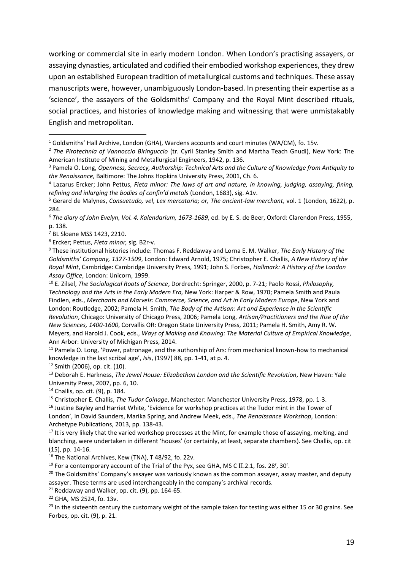working or commercial site in early modern London. When London's practising assayers, or assaying dynasties, articulated and codified their embodied workshop experiences, they drew upon an established European tradition of metallurgical customs and techniques. These assay manuscripts were, however, unambiguously London-based. In presenting their expertise as a 'science', the assayers of the Goldsmiths' Company and the Royal Mint described rituals, social practices, and histories of knowledge making and witnessing that were unmistakably English and metropolitan.

8 Ercker; Pettus, *Fleta minor,* sig. B2r-v.

9 These institutional histories include: Thomas F. Reddaway and Lorna E. M. Walker, *The Early History of the Goldsŵiths' Company, 1327-1509*, London: Edward Arnold, 1975; Christopher E. Challis, *A New History of the Royal Mint*, Cambridge: Cambridge University Press, 1991; John S. Forbes, *Hallmark: A History of the London Assay Office*, London: Unicorn, 1999.

<sup>10</sup> E. Zilsel, *The Sociological Roots of Science*, Dordrecht: Springer, 2000, p. 7-21; Paolo Rossi, *Philosophy, Technology and the Arts in the Early Modern Era,* New York: Harper & Row, 1970; Pamela Smith and Paula Findlen, eds., *Merchants and Marvels: Commerce, Science, and Art in Early Modern Europe*, New York and London: Routledge, 2002; Pamela H. Smith, *The Body of the Artisan: Art and Experience in the Scientific Revolution*, Chicago: University of Chicago Press, 2006; Pamela Long, *Artisan/Practitioners and the Rise of the New Sciences, 1400-1600*, Corvallis OR: Oregon State University Press, 2011; Pamela H. Smith, Amy R. W. Meyers, and Harold J. Cook, eds., *Ways of Making and Knowing: The Material Culture of Empirical Knowledge*, Ann Arbor: University of Michigan Press, 2014.

 $11$  Pamela O. Long, 'Power, patronage, and the authorship of Ars: from mechanical known-how to mechanical knowledge in the last scribal age', *Isis*, (1997) 88, pp. 1-41, at p. 4.

<sup>12</sup> Smith (2006), op. cit. (10).

<sup>13</sup> Deborah E. Harkness, *The Jewel House: Elizabethan London and the Scientific Revolution*, New Haven: Yale University Press, 2007, pp. 6, 10.

<sup>14</sup> Challis, op. cit. (9), p. 184.

<sup>15</sup> Christopher E. Challis, *The Tudor Coinage*, Manchester: Manchester University Press, 1978, pp. 1-3. <sup>16</sup> Justine Bayley and Harriet White, 'Evidence for workshop practices at the Tudor mint in the Tower of London', in David Saunders, Marika Spring, and Andrew Meek, eds., *The Renaissance Workshop*, London:

Archetype Publications, 2013, pp. 138-43. <sup>17</sup> It is very likely that the varied workshop processes at the Mint, for example those of assaying, melting, and blanching, were undertaken in different 'houses' (or certainly, at least, separate chambers). See Challis, op. cit (15), pp. 14-16.

<sup>18</sup> The National Archives, Kew (TNA), T 48/92, fo. 22v.

<sup>19</sup> For a contemporary account of the Trial of the Pyx, see GHA, MS C II.2.1, fos. 28<sup>r</sup>, 30<sup>r</sup>.

<sup>20</sup> The Goldsmiths' Company's assayer was variously known as the common assayer, assay master, and deputy assayer. These terms are used interchangeably in the company's archival records.

 $21$  Reddaway and Walker, op. cit. (9), pp. 164-65.

<sup>22</sup> GHA, MS 2524, fo. 13v.

<sup>23</sup> In the sixteenth century the customary weight of the sample taken for testing was either 15 or 30 grains. See Forbes, op. cit. (9), p. 21.

<sup>&</sup>lt;sup>1</sup> Goldsmiths' Hall Archive, London (GHA), Wardens accounts and court minutes (WA/CM), fo. 15v.

<sup>2</sup> *The Pirotechnia of Vannoccio Biringuccio* (tr. Cyril Stanley Smith and Martha Teach Gnudi), New York: The American Institute of Mining and Metallurgical Engineers, 1942, p. 136.

<sup>3</sup> Pamela O. Long, *Openness, Secrecy, Authorship: Technical Arts and the Culture of Knowledge from Antiquity to the Renaissance,* Baltimore: The Johns Hopkins University Press, 2001, Ch. 6.

<sup>4</sup> Lazarus Ercker; John Pettus, *Fleta minor: The laws of art and nature, in knowing, judging, assaying, fining, refining and inlarging the bodies of confin'd metals (London, 1683), sig. A1v.* 

<sup>5</sup> Gerard de Malynes, *Consuetudo, vel, Lex mercatoria; or, The ancient-law merchant,* vol. 1 (London, 1622), p. 284.

<sup>6</sup> *The diary of John Evelyn, Vol. 4. Kalendarium, 1673-1689*, ed. by E. S. de Beer, Oxford: Clarendon Press, 1955, p. 138.

<sup>7</sup> BL Sloane MSS 1423, 2210.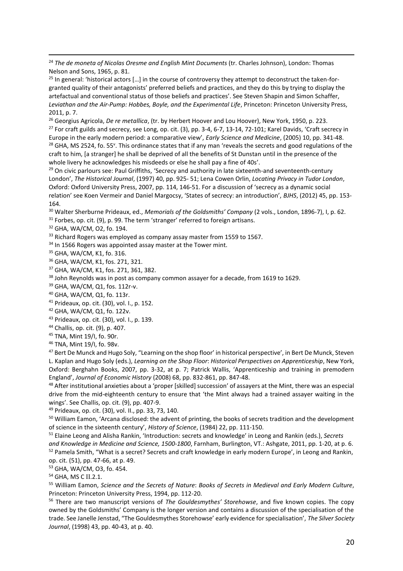<sup>26</sup> Georgius Agricola, De re metallica, (tr. by Herbert Hoover and Lou Hoover), New York, 1950, p. 223. <sup>27</sup> For craft guilds and secrecy, see Long, op. cit. (3), pp. 3-4, 6-7, 13-14, 72-101; Karel Davids, 'Craft secrecy in Europe in the early modern period: a comparative view', Early Science and Medicine, (2005) 10, pp. 341-48. <sup>28</sup> GHA, MS 2524, fo. 55<sup>v</sup>. This ordinance states that if any man 'reveals the secrets and good regulations of the craft to him, [a stranger] he shall be deprived of all the benefits of St Dunstan until in the presence of the whole livery he acknowledges his misdeeds or else he shall pay a fine of 40s'.

<sup>29</sup> On civic parlours see: Paul Griffiths, 'Secrecy and authority in late sixteenth-and seventeenth-century London', The Historical Journal, (1997) 40, pp. 925-51; Lena Cowen Orlin, Locating Privacy in Tudor London, Oxford: Oxford University Press, 2007, pp. 114, 146-51. For a discussion of 'secrecy as a dynamic social relation' see Koen Vermeir and Daniel Margocsy, 'States of secrecy: an introduction', BJHS, (2012) 45, pp. 153-164.

<sup>30</sup> Walter Sherburne Prideaux, ed., Memorials of the Goldsmiths' Company (2 vols., London, 1896-7), I, p. 62.

<sup>31</sup> Forbes, op. cit. (9), p. 99. The term 'stranger' referred to foreign artisans.

<sup>32</sup> GHA, WA/CM, O2, fo. 194.

<sup>33</sup> Richard Rogers was employed as company assay master from 1559 to 1567.

<sup>34</sup> In 1566 Rogers was appointed assay master at the Tower mint.

<sup>35</sup> GHA, WA/CM, K1, fo. 316.

<sup>36</sup> GHA, WA/CM, K1, fos. 271, 321.

<sup>37</sup> GHA, WA/CM, K1, fos. 271, 361, 382.

<sup>38</sup> John Reynolds was in post as company common assayer for a decade, from 1619 to 1629.

<sup>39</sup> GHA, WA/CM, Q1, fos. 112r-v.

<sup>40</sup> GHA, WA/CM, Q1, fo. 113r.

<sup>41</sup> Prideaux, op. cit. (30), vol. I., p. 152.

<sup>42</sup> GHA, WA/CM, Q1, fo. 122v.

<sup>43</sup> Prideaux, op. cit. (30), vol. I., p. 139.

<sup>44</sup> Challis, op. cit. (9), p. 407.

<sup>45</sup> TNA, Mint 19/I, fo. 90r.

<sup>46</sup> TNA, Mint 19/I, fo. 98v.

<sup>47</sup> Bert De Munck and Hugo Soly, "Learning on the shop floor' in historical perspective', in Bert De Munck, Steven L. Kaplan and Hugo Soly (eds.), Learning on the Shop Floor: Historical Perspectives on Apprenticeship, New York, Oxford: Berghahn Books, 2007, pp. 3-32, at p. 7; Patrick Wallis, 'Apprenticeship and training in premodern England', Journal of Economic History (2008) 68, pp. 832-861, pp. 847-48.

<sup>48</sup> After institutional anxieties about a 'proper [skilled] succession' of assayers at the Mint, there was an especial drive from the mid-eighteenth century to ensure that 'the Mint always had a trained assayer waiting in the wings'. See Challis, op. cit. (9), pp. 407-9.

<sup>49</sup> Prideaux, op. cit. (30), vol. II., pp. 33, 73, 140.

<sup>50</sup> William Eamon, 'Arcana disclosed: the advent of printing, the books of secrets tradition and the development of science in the sixteenth century', History of Science, (1984) 22, pp. 111-150.

<sup>51</sup> Elaine Leong and Alisha Rankin, 'Introduction: secrets and knowledge' in Leong and Rankin (eds.), Secrets and Knowledge in Medicine and Science, 1500-1800, Farnham, Burlington, VT.: Ashgate, 2011, pp. 1-20, at p. 6. <sup>52</sup> Pamela Smith, "What is a secret? Secrets and craft knowledge in early modern Europe', in Leong and Rankin,

op. cit. (51), pp. 47-66, at p. 49. 53 GHA, WA/CM, O3, fo. 454.

<sup>54</sup> GHA, MS C II.2.1.

<sup>55</sup> William Eamon, Science and the Secrets of Nature: Books of Secrets in Medieval and Early Modern Culture, Princeton: Princeton University Press, 1994, pp. 112-20.

<sup>56</sup> There are two manuscript versions of The Gouldesmythes' Storehowse, and five known copies. The copy owned by the Goldsmiths' Company is the longer version and contains a discussion of the specialisation of the trade. See Janelle Jenstad, "The Gouldesmythes Storehowse' early evidence for specialisation', The Silver Society Journal, (1998) 43, pp. 40-43, at p. 40.

<sup>&</sup>lt;sup>24</sup> The de moneta of Nicolas Oresme and English Mint Documents (tr. Charles Johnson), London: Thomas Nelson and Sons, 1965, p. 81.

<sup>&</sup>lt;sup>25</sup> In general: 'historical actors [...] in the course of controversy they attempt to deconstruct the taken-forgranted quality of their antagonists' preferred beliefs and practices, and they do this by trying to display the artefactual and conventional status of those beliefs and practices'. See Steven Shapin and Simon Schaffer, Leviathan and the Air-Pump: Hobbes, Boyle, and the Experimental Life, Princeton: Princeton University Press, 2011, p. 7.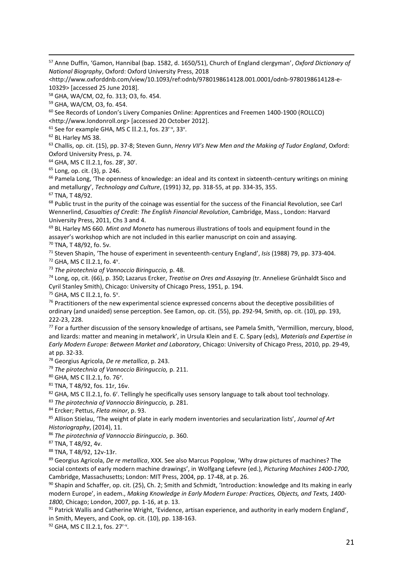57 Anne Duffin, 'Gamon, Hannibal (bap. 1582, d. 1650/51), Church of England clergyman', Oxford Dictionary of *National Biography*, Oxford: Oxford University Press, 2018

<http://www.oxforddnb.com/view/10.1093/ref:odnb/9780198614128.001.0001/odnb-9780198614128-e-10329> [accessed 25 June 2018].

<sup>58</sup> GHA, WA/CM, O2, fo. 313; O3, fo. 454.

60 See Records of London's Livery Companies Online: Apprentices and Freemen 1400-1900 (ROLLCO) <http://www.londonroll.org> [accessed 20 October 2012].

 $61$  See for example GHA, MS C II.2.1, fos. 23<sup>r-v</sup>, 33<sup>v</sup>.

<sup>62</sup> BL Harley MS 38.

63 Challis, op. cit. (15), pp. 37-8; Steven Gunn, *Henry VII's New Men and the Making of Tudor England*, Oxford: Oxford University Press, p. 74.

<sup>64</sup> GHA, MS C II.2.1, fos. 28<sup>r</sup>, 30<sup>r</sup>.

<sup>65</sup> Long, op. cit. (3), p. 246.

<sup>66</sup> Pamela Long, 'The openness of knowledge: an ideal and its context in sixteenth-century writings on mining and metallurgy', *Technology and Culture*, (1991) 32, pp. 318-55, at pp. 334-35, 355.

<sup>67</sup> TNA, T 48/92.

<sup>68</sup> Public trust in the purity of the coinage was essential for the success of the Financial Revolution, see Carl Wennerlind, *Casualties of Credit: The English Financial Revolution*, Cambridge, Mass., London: Harvard University Press, 2011, Chs 3 and 4.

<sup>69</sup> BL Harley MS 660. *Mint and Moneta* has numerous illustrations of tools and equipment found in the assayer's workshop which are not included in this earlier manuscript on coin and assaying.

<sup>70</sup> TNA, T 48/92, fo. 5v.

<sup>71</sup> Steven Shapin, 'The house of experiment in seventeenth-century England', *Isis* (1988) 79, pp. 373-404. <sup>72</sup> GHA, MS C II.2.1, fo. 4<sup>v</sup>.

<sup>73</sup> *The pirotechnia of Vannoccio Biringuccio,* p. 48.

<sup>74</sup> Long, op, cit. (66), p. 350; Lazarus Ercker, *Treatise on Ores and Assaying* (tr. Anneliese Grünhaldt Sisco and Cyril Stanley Smith), Chicago: University of Chicago Press, 1951, p. 194.

<sup>75</sup> GHA, MS C II.2.1, fo. 5<sup>v</sup>.

 $76$  Practitioners of the new experimental science expressed concerns about the deceptive possibilities of ordinary (and unaided) sense perception. See Eamon, op. cit. (55), pp. 292-94, Smith, op. cit. (10), pp. 193, 222-23, 228.

 $77$  For a further discussion of the sensory knowledge of artisans, see Pamela Smith, 'Vermillion, mercury, blood, and lizards: matter and meaning in metalwork', in Ursula Klein and E. C. Spary (eds), *Materials and Expertise in Early Modern Europe: Between Market and Laboratory*, Chicago: University of Chicago Press, 2010, pp. 29-49, at pp. 32-33.

<sup>78</sup> Georgius Agricola, *De re metallica*, p. 243.

<sup>79</sup> *The pirotechnia of Vannoccio Biringuccio,* p. 211.

<sup>80</sup> GHA, MS C II.2.1, fo. 76<sup>v</sup>.

<sup>81</sup> TNA, T 48/92, fos. 11r, 16v.

 $82$  GHA, MS C II.2.1, fo. 6<sup>r</sup>. Tellingly he specifically uses sensory language to talk about tool technology.

<sup>83</sup> *The pirotechnia of Vannoccio Biringuccio,* p. 281.

<sup>84</sup> Ercker; Pettus, *Fleta minor*, p. 93.

85 Allison Stielau, 'The weight of plate in early modern inventories and secularization lists', *Journal of Art Historiography*, (2014), 11.

<sup>86</sup> *The pirotechnia of Vannoccio Biringuccio*, p. 360.

<sup>87</sup> TNA, T 48/92, 4v.

<sup>88</sup> TNA, T 48/92, 12v-13r.

89 Georgius Agricola, *De re metallica*, XXX. See also Marcus Popplow, 'Why draw pictures of machines? The social contexts of early modern machine drawings', in Wolfgang Lefevre (ed.), *Picturing Machines 1400-1700*, Cambridge, Massachusetts; London: MIT Press, 2004, pp. 17-48, at p. 26.

 $90$  Shapin and Schaffer, op. cit. (25), Ch. 2; Smith and Schmidt, 'Introduction: knowledge and Its making in early modern Europe', in eadem., *Making Knowledge in Early Modern Europe: Practices, Objects, and Texts, 1400-1800*, Chicago; London, 2007, pp. 1-16, at p. 13.

91 Patrick Wallis and Catherine Wright, 'Evidence, artisan experience, and authority in early modern England', in Smith, Meyers, and Cook, op. cit. (10), pp. 138-163.

92 GHA, MS C II.2.1, fos. 27<sup>r-v</sup>.

<sup>59</sup> GHA, WA/CM, O3, fo. 454.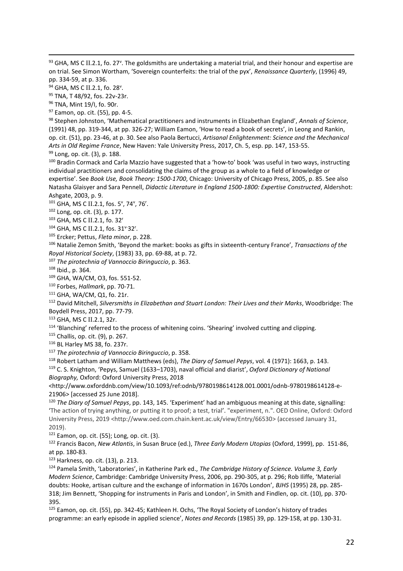$93$  GHA, MS C II.2.1, fo. 27<sup>v</sup>. The goldsmiths are undertaking a material trial, and their honour and expertise are on trial. See Simon Wortham, 'Sovereign counterfeits: the trial of the pyx', Renaissance Quarterly, (1996) 49, pp. 334-59, at p. 336.

94 GHA, MS C II.2.1, fo. 28".

95 TNA, T 48/92, fos. 22v-23r.

96 TNA, Mint 19/I, fo. 90r.

<sup>97</sup> Eamon, op. cit. (55), pp. 4-5.

<sup>98</sup> Stephen Johnston, 'Mathematical practitioners and instruments in Elizabethan England', Annals of Science, (1991) 48, pp. 319-344, at pp. 326-27; William Eamon, 'How to read a book of secrets', in Leong and Rankin, op. cit. (51), pp. 23-46, at p. 30. See also Paola Bertucci, Artisanal Enlightenment: Science and the Mechanical Arts in Old Regime France, New Haven: Yale University Press, 2017, Ch. 5, esp. pp. 147, 153-55. <sup>99</sup> Long, op. cit. (3), p. 188.

<sup>100</sup> Bradin Cormack and Carla Mazzio have suggested that a 'how-to' book 'was useful in two ways, instructing individual practitioners and consolidating the claims of the group as a whole to a field of knowledge or expertise'. See Book Use, Book Theory: 1500-1700, Chicago: University of Chicago Press, 2005, p. 85. See also Natasha Glaisyer and Sara Pennell, Didactic Literature in England 1500-1800: Expertise Constructed, Aldershot: Ashgate, 2003, p. 9.

101 GHA, MS C II.2.1, fos. 5<sup>v</sup>, 74<sup>v</sup>, 76<sup>r</sup>.

<sup>102</sup> Long, op. cit. (3), p. 177.

103 GHA, MS C II.2.1, fo. 32<sup>r</sup>

104 GHA, MS C II.2.1, fos. 31<sup>v-</sup>32<sup>r</sup>.

<sup>105</sup> Ercker; Pettus, Fleta minor, p. 228.

106 Natalie Zemon Smith, 'Beyond the market: books as gifts in sixteenth-century France', Transactions of the Royal Historical Society, (1983) 33, pp. 69-88, at p. 72.

<sup>107</sup> The pirotechnia of Vannoccio Biringuccio, p. 363.

<sup>108</sup> Ibid., p. 364.

<sup>109</sup> GHA, WA/CM, O3, fos. 551-52.

<sup>110</sup> Forbes, Hallmark, pp. 70-71.

<sup>111</sup> GHA, WA/CM, Q1, fo. 21r.

<sup>112</sup> David Mitchell, Silversmiths in Elizabethan and Stuart London: Their Lives and their Marks, Woodbridge: The Boydell Press, 2017, pp. 77-79.

<sup>113</sup> GHA, MS C II.2.1, 32r.

<sup>114</sup> 'Blanching' referred to the process of whitening coins. 'Shearing' involved cutting and clipping.

<sup>115</sup> Challis, op. cit. (9), p. 267.

<sup>116</sup> BL Harley MS 38, fo. 237r.

<sup>117</sup> The pirotechnia of Vannoccio Biringuccio, p. 358.

<sup>118</sup> Robert Latham and William Matthews (eds), The Diary of Samuel Pepys, vol. 4 (1971): 1663, p. 143.

<sup>119</sup> C. S. Knighton, 'Pepys, Samuel (1633–1703), naval official and diarist', Oxford Dictionary of National Biography, Oxford: Oxford University Press, 2018

<http://www.oxforddnb.com/view/10.1093/ref:odnb/9780198614128.001.0001/odnb-9780198614128-e-21906> [accessed 25 June 2018].

<sup>120</sup> The Diary of Samuel Pepys, pp. 143, 145. 'Experiment' had an ambiguous meaning at this date, signalling: 'The action of trying anything, or putting it to proof; a test, trial'. "experiment, n.". OED Online, Oxford: Oxford University Press, 2019 <http://www.oed.com.chain.kent.ac.uk/view/Entry/66530> (accessed January 31,  $2019$ ).

<sup>121</sup> Eamon, op. cit. (55); Long, op. cit. (3).

<sup>122</sup> Francis Bacon, New Atlantis, in Susan Bruce (ed.), Three Early Modern Utopias (Oxford, 1999), pp. 151-86, at pp. 180-83.

<sup>123</sup> Harkness, op. cit. (13), p. 213.

<sup>124</sup> Pamela Smith, 'Laboratories', in Katherine Park ed., The Cambridge History of Science. Volume 3, Early Modern Science, Cambridge: Cambridge University Press, 2006, pp. 290-305, at p. 296; Rob Iliffe, 'Material doubts: Hooke, artisan culture and the exchange of information in 1670s London', BJHS (1995) 28, pp. 285-318; Jim Bennett, 'Shopping for instruments in Paris and London', in Smith and Findlen, op. cit. (10), pp. 370-395.

125 Eamon, op. cit. (55), pp. 342-45; Kathleen H. Ochs, 'The Royal Society of London's history of trades programme: an early episode in applied science', Notes and Records (1985) 39, pp. 129-158, at pp. 130-31.